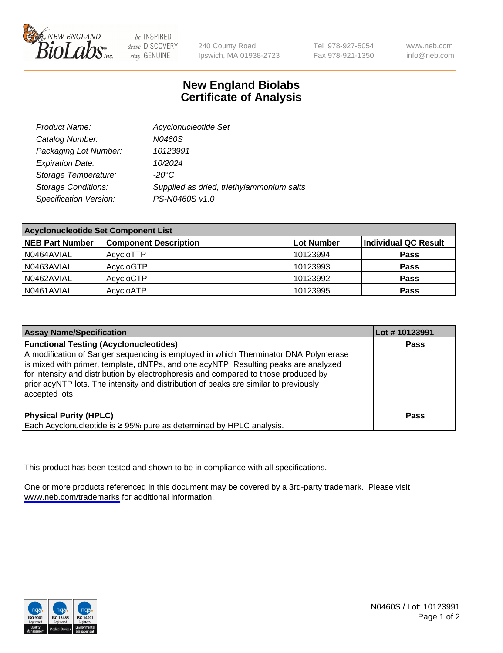

be INSPIRED drive DISCOVERY stay GENUINE

240 County Road Ipswich, MA 01938-2723 Tel 978-927-5054 Fax 978-921-1350

www.neb.com info@neb.com

## **New England Biolabs Certificate of Analysis**

| Product Name:              | Acyclonucleotide Set                      |
|----------------------------|-------------------------------------------|
| Catalog Number:            | N0460S                                    |
| Packaging Lot Number:      | 10123991                                  |
| <b>Expiration Date:</b>    | 10/2024                                   |
| Storage Temperature:       | $-20^{\circ}$ C                           |
| <b>Storage Conditions:</b> | Supplied as dried, triethylammonium salts |
| Specification Version:     | PS-N0460S v1.0                            |

| <b>Acyclonucleotide Set Component List</b> |                              |            |                      |  |
|--------------------------------------------|------------------------------|------------|----------------------|--|
| <b>NEB Part Number</b>                     | <b>Component Description</b> | Lot Number | Individual QC Result |  |
| N0464AVIAL                                 | AcycloTTP                    | 10123994   | <b>Pass</b>          |  |
| N0463AVIAL                                 | AcycloGTP                    | 10123993   | <b>Pass</b>          |  |
| N0462AVIAL                                 | AcycloCTP                    | 10123992   | <b>Pass</b>          |  |
| N0461AVIAL                                 | AcycloATP                    | 10123995   | <b>Pass</b>          |  |

| <b>Assay Name/Specification</b>                                                                                                                                                                                                                                                                                                                                                                                              | Lot #10123991 |
|------------------------------------------------------------------------------------------------------------------------------------------------------------------------------------------------------------------------------------------------------------------------------------------------------------------------------------------------------------------------------------------------------------------------------|---------------|
| <b>Functional Testing (Acyclonucleotides)</b><br>A modification of Sanger sequencing is employed in which Therminator DNA Polymerase<br>is mixed with primer, template, dNTPs, and one acyNTP. Resulting peaks are analyzed<br>for intensity and distribution by electrophoresis and compared to those produced by<br>prior acyNTP lots. The intensity and distribution of peaks are similar to previously<br>accepted lots. | <b>Pass</b>   |
| <b>Physical Purity (HPLC)</b><br>Each Acyclonucleotide is ≥ 95% pure as determined by HPLC analysis.                                                                                                                                                                                                                                                                                                                         | <b>Pass</b>   |

This product has been tested and shown to be in compliance with all specifications.

One or more products referenced in this document may be covered by a 3rd-party trademark. Please visit <www.neb.com/trademarks>for additional information.